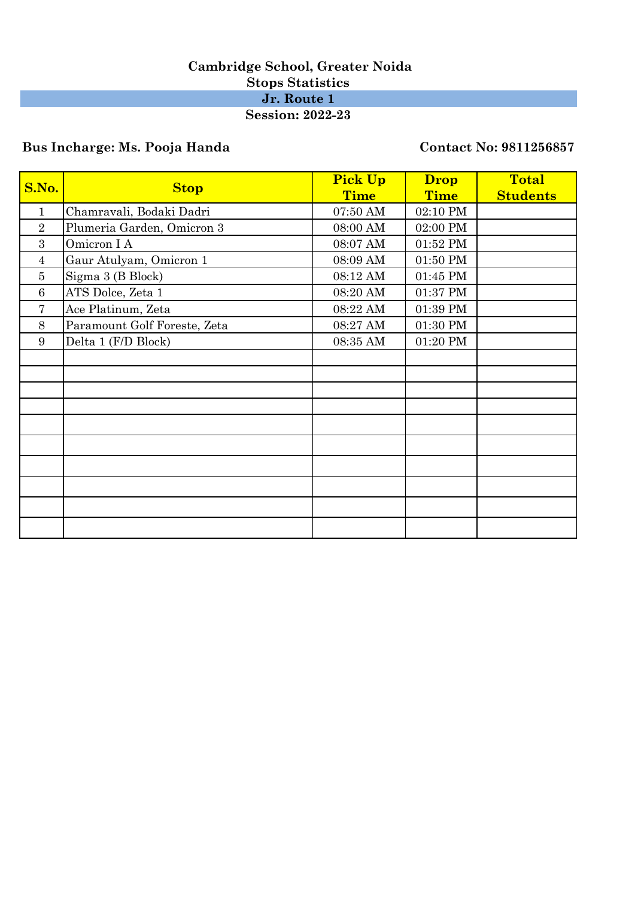### **Cambridge School, Greater Noida Stops Statistics Jr. Route 1 Session: 2022-23**

# **Bus Incharge: Ms. Pooja Handa Contact No: 9811256857**

|                | <b>Stop</b>                  | <b>Pick Up</b> | <b>Drop</b> | <b>Total</b>    |
|----------------|------------------------------|----------------|-------------|-----------------|
| S.No.          |                              | <b>Time</b>    | <b>Time</b> | <b>Students</b> |
| 1              | Chamravali, Bodaki Dadri     | 07:50 AM       | 02:10 PM    |                 |
| $\overline{2}$ | Plumeria Garden, Omicron 3   | 08:00 AM       | 02:00 PM    |                 |
| 3              | Omicron I A                  | 08:07 AM       | 01:52 PM    |                 |
| $\overline{4}$ | Gaur Atulyam, Omicron 1      | 08:09 AM       | 01:50 PM    |                 |
| $\overline{5}$ | Sigma 3 (B Block)            | 08:12 AM       | 01:45 PM    |                 |
| 6              | ATS Dolce, Zeta 1            | 08:20 AM       | 01:37 PM    |                 |
| 7              | Ace Platinum, Zeta           | 08:22 AM       | 01:39 PM    |                 |
| 8              | Paramount Golf Foreste, Zeta | 08:27 AM       | 01:30 PM    |                 |
| 9              | Delta 1 (F/D Block)          | 08:35 AM       | 01:20 PM    |                 |
|                |                              |                |             |                 |
|                |                              |                |             |                 |
|                |                              |                |             |                 |
|                |                              |                |             |                 |
|                |                              |                |             |                 |
|                |                              |                |             |                 |
|                |                              |                |             |                 |
|                |                              |                |             |                 |
|                |                              |                |             |                 |
|                |                              |                |             |                 |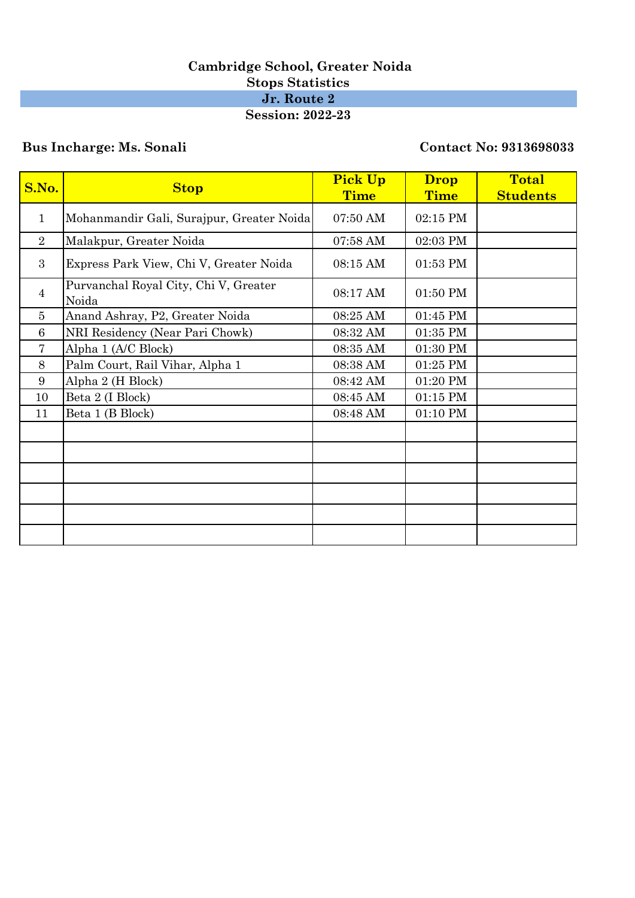### **Cambridge School, Greater Noida Stops Statistics Jr. Route 2 Session: 2022-23**

## **Bus Incharge: Ms. Sonali Contact No: 9313698033**

| S.No.          | <b>Stop</b>                                    | <b>Pick Up</b><br>Time | <b>Drop</b><br><b>Time</b> | <b>Total</b><br><b>Students</b> |
|----------------|------------------------------------------------|------------------------|----------------------------|---------------------------------|
| $\mathbf{1}$   | Mohanmandir Gali, Surajpur, Greater Noida      | 07:50 AM               | 02:15 PM                   |                                 |
| $\overline{2}$ | Malakpur, Greater Noida                        | 07:58 AM               | 02:03 PM                   |                                 |
| 3              | Express Park View, Chi V, Greater Noida        | 08:15 AM               | 01:53 PM                   |                                 |
| $\overline{4}$ | Purvanchal Royal City, Chi V, Greater<br>Noida | 08:17 AM               | 01:50 PM                   |                                 |
| 5              | Anand Ashray, P2, Greater Noida                | 08:25 AM               | 01:45 PM                   |                                 |
| 6              | NRI Residency (Near Pari Chowk)                | 08:32 AM               | 01:35 PM                   |                                 |
| $\overline{7}$ | Alpha 1 (A/C Block)                            | 08:35 AM               | 01:30 PM                   |                                 |
| 8              | Palm Court, Rail Vihar, Alpha 1                | 08:38 AM               | 01:25 PM                   |                                 |
| 9              | Alpha 2 (H Block)                              | 08:42 AM               | 01:20 PM                   |                                 |
| 10             | Beta 2 (I Block)                               | 08:45 AM               | $01:15$ PM                 |                                 |
| 11             | Beta 1 (B Block)                               | 08:48 AM               | 01:10 PM                   |                                 |
|                |                                                |                        |                            |                                 |
|                |                                                |                        |                            |                                 |
|                |                                                |                        |                            |                                 |
|                |                                                |                        |                            |                                 |
|                |                                                |                        |                            |                                 |
|                |                                                |                        |                            |                                 |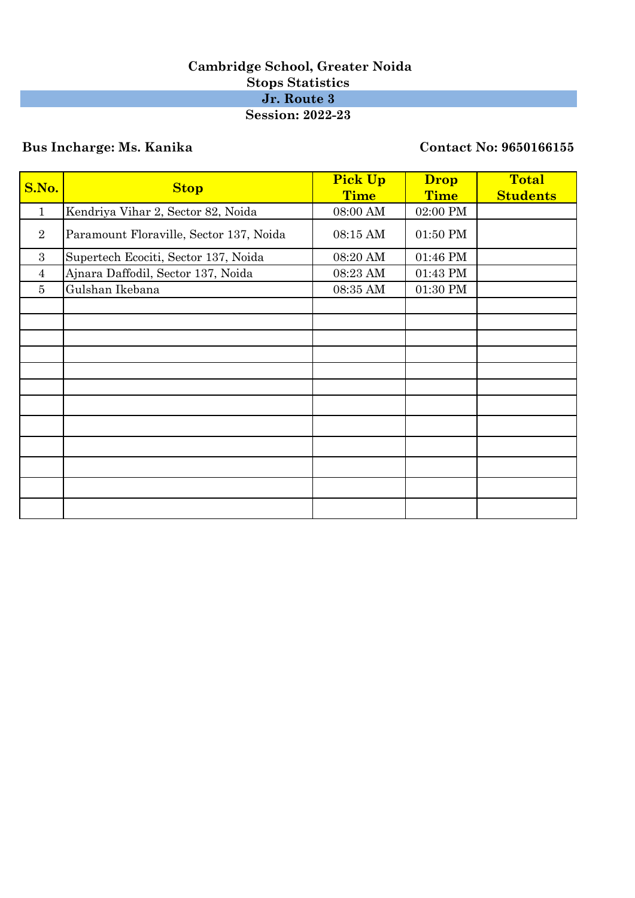### **Cambridge School, Greater Noida Stops Statistics Jr. Route 3 Session: 2022-23**

## **Bus Incharge: Ms. Kanika Contact No: 9650166155**

| S.No.          | <b>Stop</b>                             | <b>Pick Up</b><br><b>Time</b> | <b>Drop</b><br><b>Time</b> | <b>Total</b><br><b>Students</b> |
|----------------|-----------------------------------------|-------------------------------|----------------------------|---------------------------------|
| $\mathbf{1}$   | Kendriya Vihar 2, Sector 82, Noida      | 08:00 AM                      | 02:00 PM                   |                                 |
| $\overline{2}$ | Paramount Floraville, Sector 137, Noida | 08:15 AM                      | 01:50 PM                   |                                 |
| 3              | Supertech Ecociti, Sector 137, Noida    | 08:20 AM                      | 01:46 PM                   |                                 |
| $\overline{4}$ | Ajnara Daffodil, Sector 137, Noida      | 08:23 AM                      | 01:43 PM                   |                                 |
| 5              | Gulshan Ikebana                         | 08:35 AM                      | 01:30 PM                   |                                 |
|                |                                         |                               |                            |                                 |
|                |                                         |                               |                            |                                 |
|                |                                         |                               |                            |                                 |
|                |                                         |                               |                            |                                 |
|                |                                         |                               |                            |                                 |
|                |                                         |                               |                            |                                 |
|                |                                         |                               |                            |                                 |
|                |                                         |                               |                            |                                 |
|                |                                         |                               |                            |                                 |
|                |                                         |                               |                            |                                 |
|                |                                         |                               |                            |                                 |
|                |                                         |                               |                            |                                 |